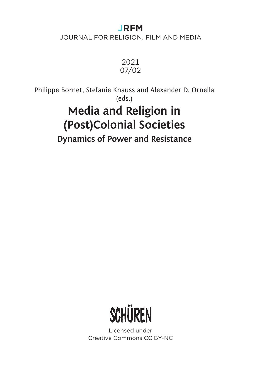# **JRFM**

JOURNAL FOR RELIGION, FILM AND MEDIA



Philippe Bornet, Stefanie Knauss and Alexander D. Ornella (eds.) **Media and Religion in (Post)Colonial Societies Dynamics of Power and Resistance**



Licensed under Creative Commons CC BY-NC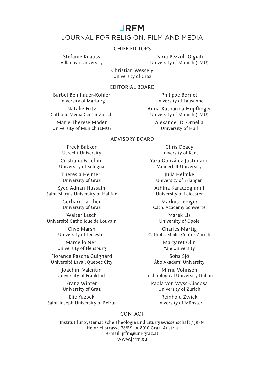## **JRFM**

## JOURNAL FOR RELIGION, FILM AND MEDIA

#### CHIEF EDITORS

Stefanie Knauss Daria Pezzoli-Olgiati University of Munich (LMU)

> Christian Wessely University of Graz

#### EDITORIAL BOARD

Bärbel Beinhauer-Köhler **Philippe Bornet**<br>University of Marburg **Philippe Bornet** 

University of Lausanne

Natalie Fritz **Anna-Katharina Höpflinger**<br>Catholic Media Center Zurich

Marie-Therese Mäder **Alexander D. Ornella**<br>
university of Munich (LMU) University of Hull University of Munich (LMU)

University of Munich (LMU)

#### ADVISORY BOARD

Freek Bakker Chris Deacy<br>University Chris Chris Deacy<br>University of Ke

University of Bologna

Theresia Heimerl **1986** Julia Helmke<br>University of Graz **Julia Helmke** 

Syed Adnan Hussain Athina Karatzogianni Saint Mary's University of Halifax

Walter Lesch<br>
é Catholique de Louvain<br>
University of Opole Université Catholique de Louvain

Marcello Neri **Margaret Olin** University of Flensburg Theorem 2016 Vale University

Florence Pasche Guignard Sofia Sjö Université Laval, Quebec City

University of Graz

Elie Yazbek<br>1997 - Palmond Zwick Reinhold Zwick<br>1997 - University of Münster Saint-Joseph University of Beirut

University of Kent

Cristiana Facchini Yara González-Justiniano

University of Erlangen

Gerhard Larcher **Markus Leniger**<br>
University of Graz **Markus Leniger**<br>
Cath. Academy Schwe Cath. Academy Schwerte

Clive Marsh Charles Martig<br>
University of Leicester<br>
Catholic Media Center 2 Catholic Media Center Zurich

Joachim Valentin<br>University of Frankfurt Mirna Vechnological University Technological University Dublin

Franz Winter **Franz Winter** Paola von Wyss-Giacosa<br>
niversity of Graz **Franz Communists** University of Zurich

### CONTACT

Institut für Systematische Theologie und Liturgiewissenschaft / JRFM Heinrichstrasse 78/B/1, A-8010 Graz, Austria e-mail: jrfm@uni-graz.at www.jrfm.eu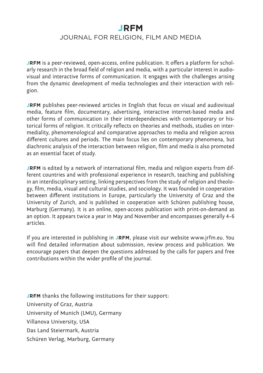# **JRFM**

## JOURNAL FOR RELIGION, FILM AND MEDIA

**JRFM** is a peer-reviewed, open-access, online publication. It offers a platform for scholarly research in the broad field of religion and media, with a particular interest in audiovisual and interactive forms of communication. It engages with the challenges arising from the dynamic development of media technologies and their interaction with religion.

**JRFM** publishes peer-reviewed articles in English that focus on visual and audiovisual media, feature film, documentary, advertising, interactive internet-based media and other forms of communication in their interdependencies with contemporary or historical forms of religion. It critically reflects on theories and methods, studies on intermediality, phenomenological and comparative approaches to media and religion across different cultures and periods. The main focus lies on contemporary phenomena, but diachronic analysis of the interaction between religion, film and media is also promoted as an essential facet of study.

**JRFM** is edited by a network of international film, media and religion experts from different countries and with professional experience in research, teaching and publishing in an interdisciplinary setting, linking perspectives from the study of religion and theology, film, media, visual and cultural studies, and sociology. It was founded in cooperation between different institutions in Europe, particularly the University of Graz and the University of Zurich, and is published in cooperation with Schüren publishing house, Marburg (Germany). It is an online, open-access publication with print-on-demand as an option. It appears twice a year in May and November and encompasses generally 4–6 articles.

If you are interested in publishing in **JRFM**, please visit our website www.jrfm.eu. You will find detailed information about submission, review process and publication. We encourage papers that deepen the questions addressed by the calls for papers and free contributions within the wider profile of the journal.

**JRFM** thanks the following institutions for their support: University of Graz, Austria University of Munich (LMU), Germany Villanova University, USA Das Land Steiermark, Austria Schüren Verlag, Marburg, Germany